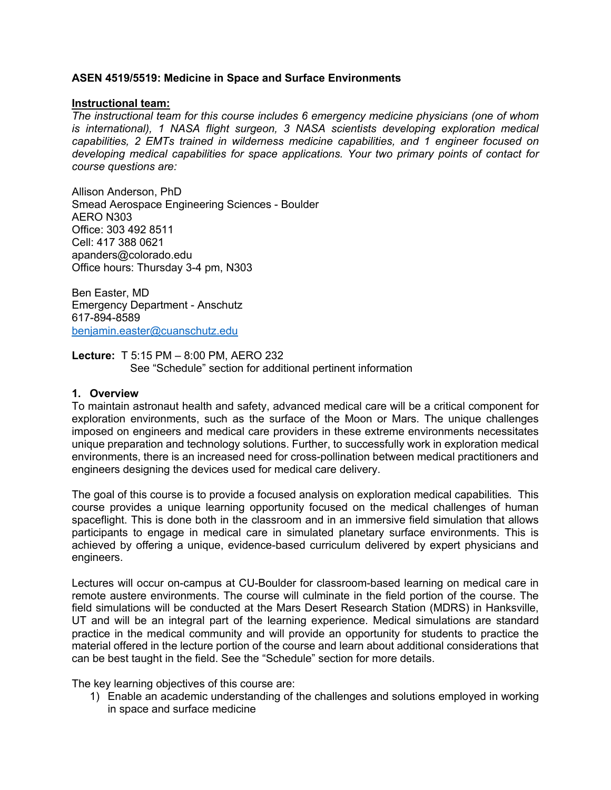### **ASEN 4519/5519: Medicine in Space and Surface Environments**

### **Instructional team:**

*The instructional team for this course includes 6 emergency medicine physicians (one of whom is international), 1 NASA flight surgeon, 3 NASA scientists developing exploration medical capabilities, 2 EMTs trained in wilderness medicine capabilities, and 1 engineer focused on developing medical capabilities for space applications. Your two primary points of contact for course questions are:* 

Allison Anderson, PhD Smead Aerospace Engineering Sciences - Boulder AERO N303 Office: 303 492 8511 Cell: 417 388 0621 apanders@colorado.edu Office hours: Thursday 3-4 pm, N303

Ben Easter, MD Emergency Department - Anschutz 617-894-8589 benjamin.easter@cuanschutz.edu

**Lecture:** T 5:15 PM – 8:00 PM, AERO 232 See "Schedule" section for additional pertinent information

#### **1. Overview**

To maintain astronaut health and safety, advanced medical care will be a critical component for exploration environments, such as the surface of the Moon or Mars. The unique challenges imposed on engineers and medical care providers in these extreme environments necessitates unique preparation and technology solutions. Further, to successfully work in exploration medical environments, there is an increased need for cross-pollination between medical practitioners and engineers designing the devices used for medical care delivery.

The goal of this course is to provide a focused analysis on exploration medical capabilities. This course provides a unique learning opportunity focused on the medical challenges of human spaceflight. This is done both in the classroom and in an immersive field simulation that allows participants to engage in medical care in simulated planetary surface environments. This is achieved by offering a unique, evidence-based curriculum delivered by expert physicians and engineers.

Lectures will occur on-campus at CU-Boulder for classroom-based learning on medical care in remote austere environments. The course will culminate in the field portion of the course. The field simulations will be conducted at the Mars Desert Research Station (MDRS) in Hanksville, UT and will be an integral part of the learning experience. Medical simulations are standard practice in the medical community and will provide an opportunity for students to practice the material offered in the lecture portion of the course and learn about additional considerations that can be best taught in the field. See the "Schedule" section for more details.

The key learning objectives of this course are:

1) Enable an academic understanding of the challenges and solutions employed in working in space and surface medicine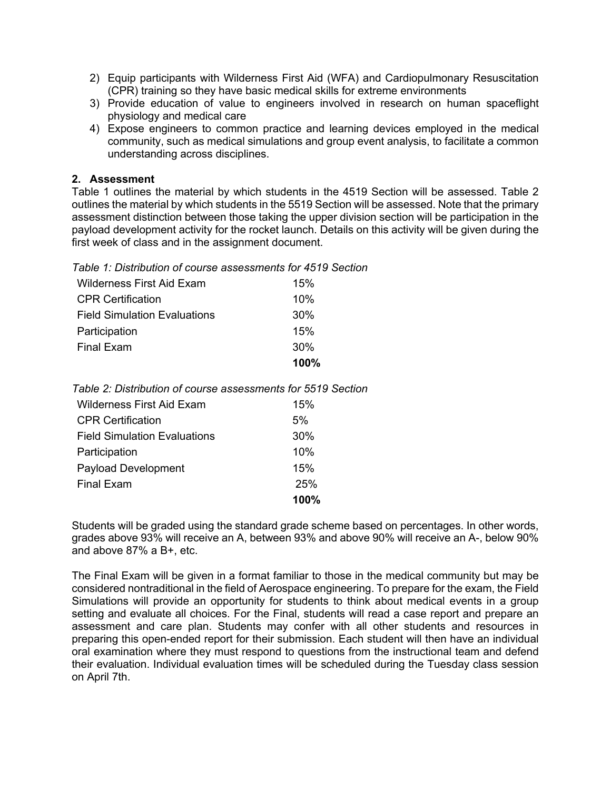- 2) Equip participants with Wilderness First Aid (WFA) and Cardiopulmonary Resuscitation (CPR) training so they have basic medical skills for extreme environments
- 3) Provide education of value to engineers involved in research on human spaceflight physiology and medical care
- 4) Expose engineers to common practice and learning devices employed in the medical community, such as medical simulations and group event analysis, to facilitate a common understanding across disciplines.

## **2. Assessment**

Table 1 outlines the material by which students in the 4519 Section will be assessed. Table 2 outlines the material by which students in the 5519 Section will be assessed. Note that the primary assessment distinction between those taking the upper division section will be participation in the payload development activity for the rocket launch. Details on this activity will be given during the first week of class and in the assignment document.

*Table 1: Distribution of course assessments for 4519 Section*

| <b>Wilderness First Aid Exam</b>    | 15%  |
|-------------------------------------|------|
| <b>CPR Certification</b>            | 10%  |
| <b>Field Simulation Evaluations</b> | 30%  |
| Participation                       | 15%  |
| Final Exam                          | 30%  |
|                                     | 100% |

*Table 2: Distribution of course assessments for 5519 Section* 

| Wilderness First Aid Exam           | 15%  |
|-------------------------------------|------|
| <b>CPR Certification</b>            | 5%   |
| <b>Field Simulation Evaluations</b> | 30%  |
| Participation                       | 10%  |
| <b>Payload Development</b>          | 15%  |
| <b>Final Exam</b>                   | 25%  |
|                                     | 100% |

Students will be graded using the standard grade scheme based on percentages. In other words, grades above 93% will receive an A, between 93% and above 90% will receive an A-, below 90% and above 87% a B+, etc.

The Final Exam will be given in a format familiar to those in the medical community but may be considered nontraditional in the field of Aerospace engineering. To prepare for the exam, the Field Simulations will provide an opportunity for students to think about medical events in a group setting and evaluate all choices. For the Final, students will read a case report and prepare an assessment and care plan. Students may confer with all other students and resources in preparing this open-ended report for their submission. Each student will then have an individual oral examination where they must respond to questions from the instructional team and defend their evaluation. Individual evaluation times will be scheduled during the Tuesday class session on April 7th.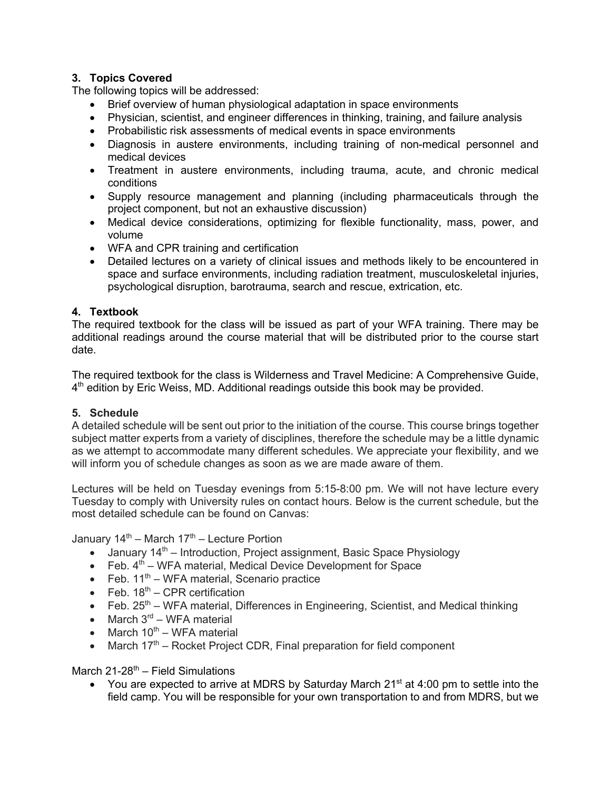# **3. Topics Covered**

The following topics will be addressed:

- Brief overview of human physiological adaptation in space environments
- Physician, scientist, and engineer differences in thinking, training, and failure analysis
- Probabilistic risk assessments of medical events in space environments
- Diagnosis in austere environments, including training of non-medical personnel and medical devices
- Treatment in austere environments, including trauma, acute, and chronic medical conditions
- Supply resource management and planning (including pharmaceuticals through the project component, but not an exhaustive discussion)
- Medical device considerations, optimizing for flexible functionality, mass, power, and volume
- WFA and CPR training and certification
- Detailed lectures on a variety of clinical issues and methods likely to be encountered in space and surface environments, including radiation treatment, musculoskeletal injuries, psychological disruption, barotrauma, search and rescue, extrication, etc.

# **4. Textbook**

The required textbook for the class will be issued as part of your WFA training. There may be additional readings around the course material that will be distributed prior to the course start date.

The required textbook for the class is Wilderness and Travel Medicine: A Comprehensive Guide, 4<sup>th</sup> edition by Eric Weiss, MD. Additional readings outside this book may be provided.

## **5. Schedule**

A detailed schedule will be sent out prior to the initiation of the course. This course brings together subject matter experts from a variety of disciplines, therefore the schedule may be a little dynamic as we attempt to accommodate many different schedules. We appreciate your flexibility, and we will inform you of schedule changes as soon as we are made aware of them.

Lectures will be held on Tuesday evenings from 5:15-8:00 pm. We will not have lecture every Tuesday to comply with University rules on contact hours. Below is the current schedule, but the most detailed schedule can be found on Canvas:

January  $14^{\text{th}}$  – March  $17^{\text{th}}$  – Lecture Portion

- January  $14<sup>th</sup>$  Introduction, Project assignment, Basic Space Physiology
- Feb.  $4<sup>th</sup>$  WFA material, Medical Device Development for Space
- Feb.  $11<sup>th</sup>$  WFA material, Scenario practice
- Feb.  $18^{th}$  CPR certification
- Feb.  $25<sup>th</sup>$  WFA material, Differences in Engineering, Scientist, and Medical thinking
- March  $3<sup>rd</sup>$  WFA material
- March  $10^{th}$  WFA material
- March  $17<sup>th</sup>$  Rocket Project CDR, Final preparation for field component

# March  $21-28^{th}$  – Field Simulations

• You are expected to arrive at MDRS by Saturday March  $21<sup>st</sup>$  at 4:00 pm to settle into the field camp. You will be responsible for your own transportation to and from MDRS, but we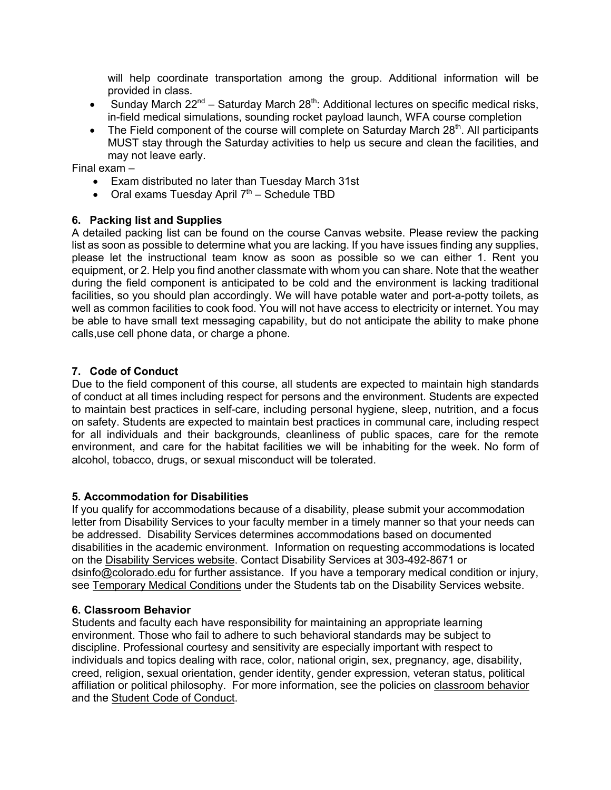will help coordinate transportation among the group. Additional information will be provided in class.

- Sunday March  $22^{nd}$  Saturday March  $28^{th}$ : Additional lectures on specific medical risks, in-field medical simulations, sounding rocket payload launch, WFA course completion
- The Field component of the course will complete on Saturday March  $28<sup>th</sup>$ . All participants MUST stay through the Saturday activities to help us secure and clean the facilities, and may not leave early.

Final exam –

- Exam distributed no later than Tuesday March 31st
- Oral exams Tuesday April  $7<sup>th</sup>$  Schedule TBD

## **6. Packing list and Supplies**

A detailed packing list can be found on the course Canvas website. Please review the packing list as soon as possible to determine what you are lacking. If you have issues finding any supplies, please let the instructional team know as soon as possible so we can either 1. Rent you equipment, or 2. Help you find another classmate with whom you can share. Note that the weather during the field component is anticipated to be cold and the environment is lacking traditional facilities, so you should plan accordingly. We will have potable water and port-a-potty toilets, as well as common facilities to cook food. You will not have access to electricity or internet. You may be able to have small text messaging capability, but do not anticipate the ability to make phone calls,use cell phone data, or charge a phone.

### **7. Code of Conduct**

Due to the field component of this course, all students are expected to maintain high standards of conduct at all times including respect for persons and the environment. Students are expected to maintain best practices in self-care, including personal hygiene, sleep, nutrition, and a focus on safety. Students are expected to maintain best practices in communal care, including respect for all individuals and their backgrounds, cleanliness of public spaces, care for the remote environment, and care for the habitat facilities we will be inhabiting for the week. No form of alcohol, tobacco, drugs, or sexual misconduct will be tolerated.

#### **5. Accommodation for Disabilities**

If you qualify for accommodations because of a disability, please submit your accommodation letter from Disability Services to your faculty member in a timely manner so that your needs can be addressed. Disability Services determines accommodations based on documented disabilities in the academic environment. Information on requesting accommodations is located on the Disability Services website. Contact Disability Services at 303-492-8671 or dsinfo@colorado.edu for further assistance. If you have a temporary medical condition or injury, see Temporary Medical Conditions under the Students tab on the Disability Services website.

#### **6. Classroom Behavior**

Students and faculty each have responsibility for maintaining an appropriate learning environment. Those who fail to adhere to such behavioral standards may be subject to discipline. Professional courtesy and sensitivity are especially important with respect to individuals and topics dealing with race, color, national origin, sex, pregnancy, age, disability, creed, religion, sexual orientation, gender identity, gender expression, veteran status, political affiliation or political philosophy. For more information, see the policies on classroom behavior and the Student Code of Conduct.